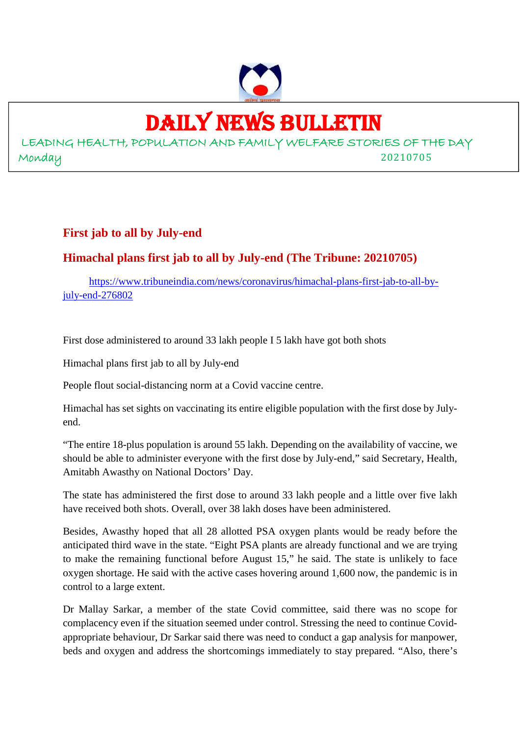

### DAILY NEWS BULLETIN

LEADING HEALTH, POPULATION AND FAMILY WELFARE STORIES OF THE DAY Monday 20210705

### **First jab to all by July-end**

### **Himachal plans first jab to all by July-end (The Tribune: 20210705)**

https://www.tribuneindia.com/news/coronavirus/himachal-plans-first-jab-to-all-byjuly-end-276802

First dose administered to around 33 lakh people I 5 lakh have got both shots

Himachal plans first jab to all by July-end

People flout social-distancing norm at a Covid vaccine centre.

Himachal has set sights on vaccinating its entire eligible population with the first dose by Julyend.

"The entire 18-plus population is around 55 lakh. Depending on the availability of vaccine, we should be able to administer everyone with the first dose by July-end," said Secretary, Health, Amitabh Awasthy on National Doctors' Day.

The state has administered the first dose to around 33 lakh people and a little over five lakh have received both shots. Overall, over 38 lakh doses have been administered.

Besides, Awasthy hoped that all 28 allotted PSA oxygen plants would be ready before the anticipated third wave in the state. "Eight PSA plants are already functional and we are trying to make the remaining functional before August 15," he said. The state is unlikely to face oxygen shortage. He said with the active cases hovering around 1,600 now, the pandemic is in control to a large extent.

Dr Mallay Sarkar, a member of the state Covid committee, said there was no scope for complacency even if the situation seemed under control. Stressing the need to continue Covidappropriate behaviour, Dr Sarkar said there was need to conduct a gap analysis for manpower, beds and oxygen and address the shortcomings immediately to stay prepared. "Also, there's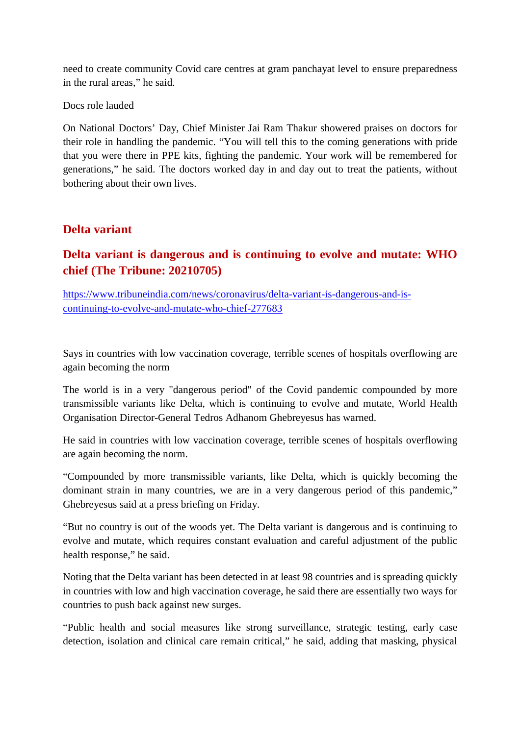need to create community Covid care centres at gram panchayat level to ensure preparedness in the rural areas," he said.

Docs role lauded

On National Doctors' Day, Chief Minister Jai Ram Thakur showered praises on doctors for their role in handling the pandemic. "You will tell this to the coming generations with pride that you were there in PPE kits, fighting the pandemic. Your work will be remembered for generations," he said. The doctors worked day in and day out to treat the patients, without bothering about their own lives.

### **Delta variant**

### **Delta variant is dangerous and is continuing to evolve and mutate: WHO chief (The Tribune: 20210705)**

https://www.tribuneindia.com/news/coronavirus/delta-variant-is-dangerous-and-iscontinuing-to-evolve-and-mutate-who-chief-277683

Says in countries with low vaccination coverage, terrible scenes of hospitals overflowing are again becoming the norm

The world is in a very "dangerous period" of the Covid pandemic compounded by more transmissible variants like Delta, which is continuing to evolve and mutate, World Health Organisation Director-General Tedros Adhanom Ghebreyesus has warned.

He said in countries with low vaccination coverage, terrible scenes of hospitals overflowing are again becoming the norm.

"Compounded by more transmissible variants, like Delta, which is quickly becoming the dominant strain in many countries, we are in a very dangerous period of this pandemic," Ghebreyesus said at a press briefing on Friday.

"But no country is out of the woods yet. The Delta variant is dangerous and is continuing to evolve and mutate, which requires constant evaluation and careful adjustment of the public health response," he said.

Noting that the Delta variant has been detected in at least 98 countries and is spreading quickly in countries with low and high vaccination coverage, he said there are essentially two ways for countries to push back against new surges.

"Public health and social measures like strong surveillance, strategic testing, early case detection, isolation and clinical care remain critical," he said, adding that masking, physical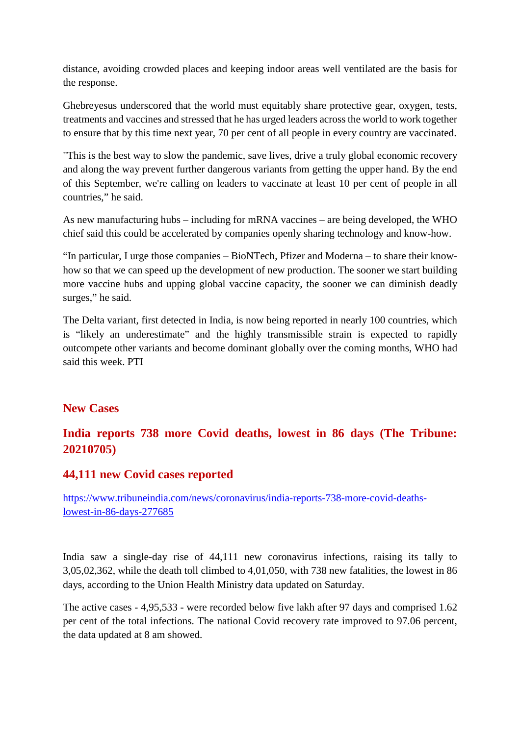distance, avoiding crowded places and keeping indoor areas well ventilated are the basis for the response.

Ghebreyesus underscored that the world must equitably share protective gear, oxygen, tests, treatments and vaccines and stressed that he has urged leaders across the world to work together to ensure that by this time next year, 70 per cent of all people in every country are vaccinated.

"This is the best way to slow the pandemic, save lives, drive a truly global economic recovery and along the way prevent further dangerous variants from getting the upper hand. By the end of this September, we're calling on leaders to vaccinate at least 10 per cent of people in all countries," he said.

As new manufacturing hubs – including for mRNA vaccines – are being developed, the WHO chief said this could be accelerated by companies openly sharing technology and know-how.

"In particular, I urge those companies – BioNTech, Pfizer and Moderna – to share their knowhow so that we can speed up the development of new production. The sooner we start building more vaccine hubs and upping global vaccine capacity, the sooner we can diminish deadly surges," he said.

The Delta variant, first detected in India, is now being reported in nearly 100 countries, which is "likely an underestimate" and the highly transmissible strain is expected to rapidly outcompete other variants and become dominant globally over the coming months, WHO had said this week. PTI

#### **New Cases**

### **India reports 738 more Covid deaths, lowest in 86 days (The Tribune: 20210705)**

### **44,111 new Covid cases reported**

https://www.tribuneindia.com/news/coronavirus/india-reports-738-more-covid-deathslowest-in-86-days-277685

India saw a single-day rise of 44,111 new coronavirus infections, raising its tally to 3,05,02,362, while the death toll climbed to 4,01,050, with 738 new fatalities, the lowest in 86 days, according to the Union Health Ministry data updated on Saturday.

The active cases - 4,95,533 - were recorded below five lakh after 97 days and comprised 1.62 per cent of the total infections. The national Covid recovery rate improved to 97.06 percent, the data updated at 8 am showed.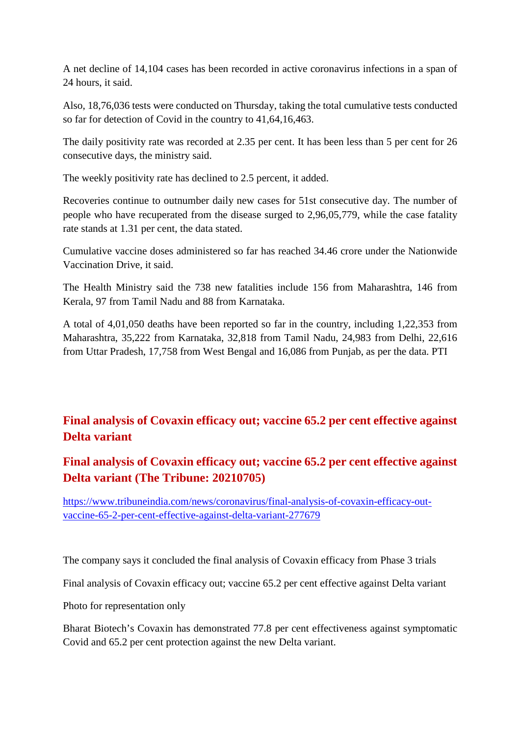A net decline of 14,104 cases has been recorded in active coronavirus infections in a span of 24 hours, it said.

Also, 18,76,036 tests were conducted on Thursday, taking the total cumulative tests conducted so far for detection of Covid in the country to 41,64,16,463.

The daily positivity rate was recorded at 2.35 per cent. It has been less than 5 per cent for 26 consecutive days, the ministry said.

The weekly positivity rate has declined to 2.5 percent, it added.

Recoveries continue to outnumber daily new cases for 51st consecutive day. The number of people who have recuperated from the disease surged to 2,96,05,779, while the case fatality rate stands at 1.31 per cent, the data stated.

Cumulative vaccine doses administered so far has reached 34.46 crore under the Nationwide Vaccination Drive, it said.

The Health Ministry said the 738 new fatalities include 156 from Maharashtra, 146 from Kerala, 97 from Tamil Nadu and 88 from Karnataka.

A total of 4,01,050 deaths have been reported so far in the country, including 1,22,353 from Maharashtra, 35,222 from Karnataka, 32,818 from Tamil Nadu, 24,983 from Delhi, 22,616 from Uttar Pradesh, 17,758 from West Bengal and 16,086 from Punjab, as per the data. PTI

### **Final analysis of Covaxin efficacy out; vaccine 65.2 per cent effective against Delta variant**

### **Final analysis of Covaxin efficacy out; vaccine 65.2 per cent effective against Delta variant (The Tribune: 20210705)**

https://www.tribuneindia.com/news/coronavirus/final-analysis-of-covaxin-efficacy-outvaccine-65-2-per-cent-effective-against-delta-variant-277679

The company says it concluded the final analysis of Covaxin efficacy from Phase 3 trials

Final analysis of Covaxin efficacy out; vaccine 65.2 per cent effective against Delta variant

Photo for representation only

Bharat Biotech's Covaxin has demonstrated 77.8 per cent effectiveness against symptomatic Covid and 65.2 per cent protection against the new Delta variant.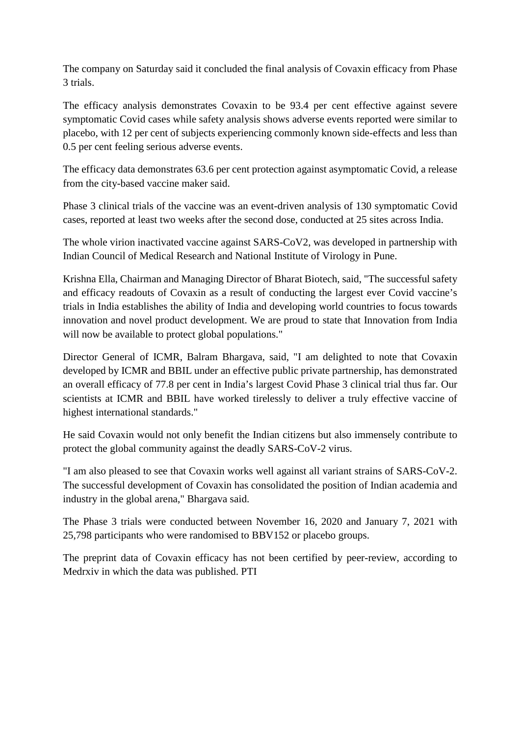The company on Saturday said it concluded the final analysis of Covaxin efficacy from Phase 3 trials.

The efficacy analysis demonstrates Covaxin to be 93.4 per cent effective against severe symptomatic Covid cases while safety analysis shows adverse events reported were similar to placebo, with 12 per cent of subjects experiencing commonly known side-effects and less than 0.5 per cent feeling serious adverse events.

The efficacy data demonstrates 63.6 per cent protection against asymptomatic Covid, a release from the city-based vaccine maker said.

Phase 3 clinical trials of the vaccine was an event-driven analysis of 130 symptomatic Covid cases, reported at least two weeks after the second dose, conducted at 25 sites across India.

The whole virion inactivated vaccine against SARS-CoV2, was developed in partnership with Indian Council of Medical Research and National Institute of Virology in Pune.

Krishna Ella, Chairman and Managing Director of Bharat Biotech, said, "The successful safety and efficacy readouts of Covaxin as a result of conducting the largest ever Covid vaccine's trials in India establishes the ability of India and developing world countries to focus towards innovation and novel product development. We are proud to state that Innovation from India will now be available to protect global populations."

Director General of ICMR, Balram Bhargava, said, "I am delighted to note that Covaxin developed by ICMR and BBIL under an effective public private partnership, has demonstrated an overall efficacy of 77.8 per cent in India's largest Covid Phase 3 clinical trial thus far. Our scientists at ICMR and BBIL have worked tirelessly to deliver a truly effective vaccine of highest international standards."

He said Covaxin would not only benefit the Indian citizens but also immensely contribute to protect the global community against the deadly SARS-CoV-2 virus.

"I am also pleased to see that Covaxin works well against all variant strains of SARS-CoV-2. The successful development of Covaxin has consolidated the position of Indian academia and industry in the global arena," Bhargava said.

The Phase 3 trials were conducted between November 16, 2020 and January 7, 2021 with 25,798 participants who were randomised to BBV152 or placebo groups.

The preprint data of Covaxin efficacy has not been certified by peer-review, according to Medrxiv in which the data was published. PTI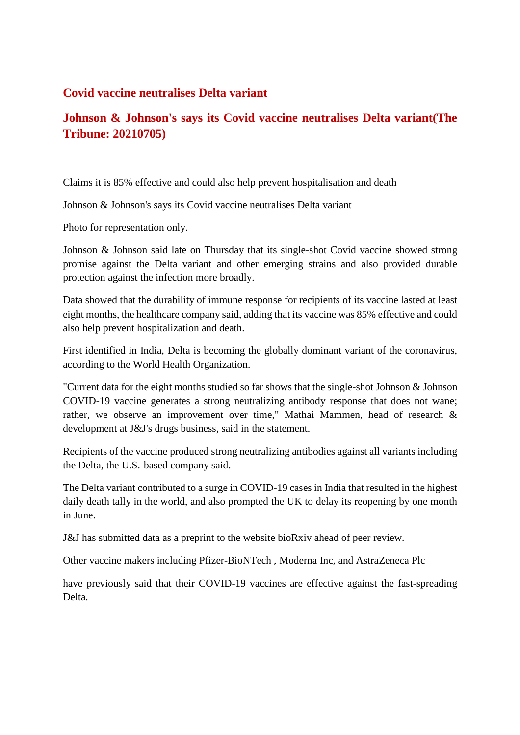#### **Covid vaccine neutralises Delta variant**

### **Johnson & Johnson's says its Covid vaccine neutralises Delta variant(The Tribune: 20210705)**

Claims it is 85% effective and could also help prevent hospitalisation and death

Johnson & Johnson's says its Covid vaccine neutralises Delta variant

Photo for representation only.

Johnson & Johnson said late on Thursday that its single-shot Covid vaccine showed strong promise against the Delta variant and other emerging strains and also provided durable protection against the infection more broadly.

Data showed that the durability of immune response for recipients of its vaccine lasted at least eight months, the healthcare company said, adding that its vaccine was 85% effective and could also help prevent hospitalization and death.

First identified in India, Delta is becoming the globally dominant variant of the coronavirus, according to the World Health Organization.

"Current data for the eight months studied so far shows that the single-shot Johnson & Johnson COVID-19 vaccine generates a strong neutralizing antibody response that does not wane; rather, we observe an improvement over time," Mathai Mammen, head of research & development at J&J's drugs business, said in the statement.

Recipients of the vaccine produced strong neutralizing antibodies against all variants including the Delta, the U.S.-based company said.

The Delta variant contributed to a surge in COVID-19 cases in India that resulted in the highest daily death tally in the world, and also prompted the UK to delay its reopening by one month in June.

J&J has submitted data as a preprint to the website bioRxiv ahead of peer review.

Other vaccine makers including Pfizer-BioNTech , Moderna Inc, and AstraZeneca Plc

have previously said that their COVID-19 vaccines are effective against the fast-spreading Delta.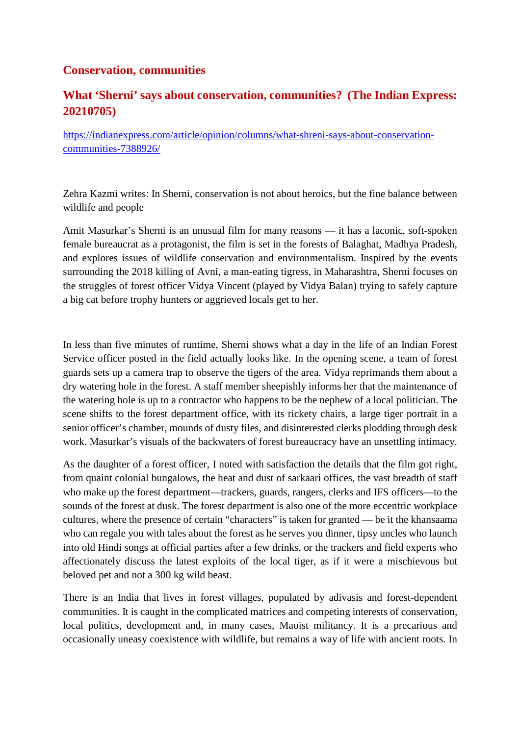### **Conservation, communities**

### **What 'Sherni' says about conservation, communities? (The Indian Express: 20210705)**

https://indianexpress.com/article/opinion/columns/what-shreni-says-about-conservationcommunities-7388926/

Zehra Kazmi writes: In Sherni, conservation is not about heroics, but the fine balance between wildlife and people

Amit Masurkar's Sherni is an unusual film for many reasons — it has a laconic, soft-spoken female bureaucrat as a protagonist, the film is set in the forests of Balaghat, Madhya Pradesh, and explores issues of wildlife conservation and environmentalism. Inspired by the events surrounding the 2018 killing of Avni, a man-eating tigress, in Maharashtra, Sherni focuses on the struggles of forest officer Vidya Vincent (played by Vidya Balan) trying to safely capture a big cat before trophy hunters or aggrieved locals get to her.

In less than five minutes of runtime, Sherni shows what a day in the life of an Indian Forest Service officer posted in the field actually looks like. In the opening scene, a team of forest guards sets up a camera trap to observe the tigers of the area. Vidya reprimands them about a dry watering hole in the forest. A staff member sheepishly informs her that the maintenance of the watering hole is up to a contractor who happens to be the nephew of a local politician. The scene shifts to the forest department office, with its rickety chairs, a large tiger portrait in a senior officer's chamber, mounds of dusty files, and disinterested clerks plodding through desk work. Masurkar's visuals of the backwaters of forest bureaucracy have an unsettling intimacy.

As the daughter of a forest officer, I noted with satisfaction the details that the film got right, from quaint colonial bungalows, the heat and dust of sarkaari offices, the vast breadth of staff who make up the forest department—trackers, guards, rangers, clerks and IFS officers—to the sounds of the forest at dusk. The forest department is also one of the more eccentric workplace cultures, where the presence of certain "characters" is taken for granted — be it the khansaama who can regale you with tales about the forest as he serves you dinner, tipsy uncles who launch into old Hindi songs at official parties after a few drinks, or the trackers and field experts who affectionately discuss the latest exploits of the local tiger, as if it were a mischievous but beloved pet and not a 300 kg wild beast.

There is an India that lives in forest villages, populated by adivasis and forest-dependent communities. It is caught in the complicated matrices and competing interests of conservation, local politics, development and, in many cases, Maoist militancy. It is a precarious and occasionally uneasy coexistence with wildlife, but remains a way of life with ancient roots. In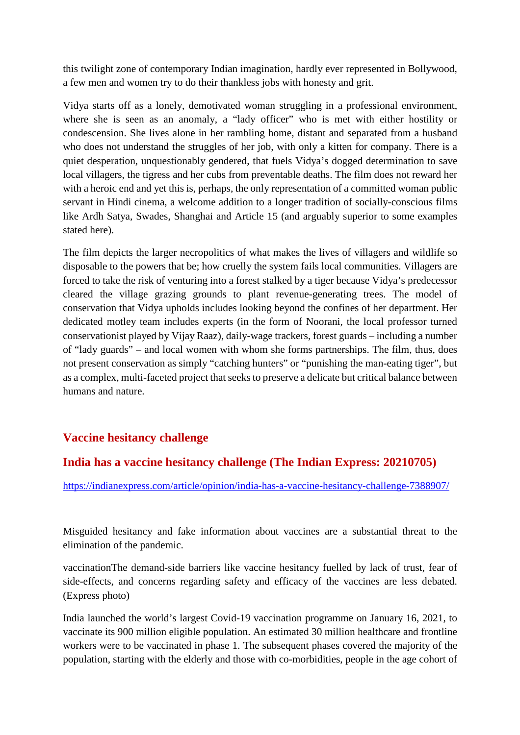this twilight zone of contemporary Indian imagination, hardly ever represented in Bollywood, a few men and women try to do their thankless jobs with honesty and grit.

Vidya starts off as a lonely, demotivated woman struggling in a professional environment, where she is seen as an anomaly, a "lady officer" who is met with either hostility or condescension. She lives alone in her rambling home, distant and separated from a husband who does not understand the struggles of her job, with only a kitten for company. There is a quiet desperation, unquestionably gendered, that fuels Vidya's dogged determination to save local villagers, the tigress and her cubs from preventable deaths. The film does not reward her with a heroic end and yet this is, perhaps, the only representation of a committed woman public servant in Hindi cinema, a welcome addition to a longer tradition of socially-conscious films like Ardh Satya, Swades, Shanghai and Article 15 (and arguably superior to some examples stated here).

The film depicts the larger necropolitics of what makes the lives of villagers and wildlife so disposable to the powers that be; how cruelly the system fails local communities. Villagers are forced to take the risk of venturing into a forest stalked by a tiger because Vidya's predecessor cleared the village grazing grounds to plant revenue-generating trees. The model of conservation that Vidya upholds includes looking beyond the confines of her department. Her dedicated motley team includes experts (in the form of Noorani, the local professor turned conservationist played by Vijay Raaz), daily-wage trackers, forest guards – including a number of "lady guards" – and local women with whom she forms partnerships. The film, thus, does not present conservation as simply "catching hunters" or "punishing the man-eating tiger", but as a complex, multi-faceted project that seeks to preserve a delicate but critical balance between humans and nature.

### **Vaccine hesitancy challenge**

### **India has a vaccine hesitancy challenge (The Indian Express: 20210705)**

https://indianexpress.com/article/opinion/india-has-a-vaccine-hesitancy-challenge-7388907/

Misguided hesitancy and fake information about vaccines are a substantial threat to the elimination of the pandemic.

vaccinationThe demand-side barriers like vaccine hesitancy fuelled by lack of trust, fear of side-effects, and concerns regarding safety and efficacy of the vaccines are less debated. (Express photo)

India launched the world's largest Covid-19 vaccination programme on January 16, 2021, to vaccinate its 900 million eligible population. An estimated 30 million healthcare and frontline workers were to be vaccinated in phase 1. The subsequent phases covered the majority of the population, starting with the elderly and those with co-morbidities, people in the age cohort of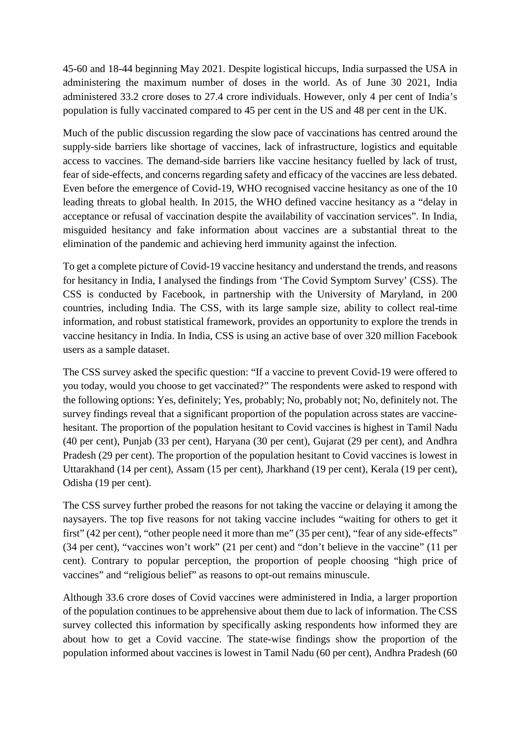45-60 and 18-44 beginning May 2021. Despite logistical hiccups, India surpassed the USA in administering the maximum number of doses in the world. As of June 30 2021, India administered 33.2 crore doses to 27.4 crore individuals. However, only 4 per cent of India's population is fully vaccinated compared to 45 per cent in the US and 48 per cent in the UK.

Much of the public discussion regarding the slow pace of vaccinations has centred around the supply-side barriers like shortage of vaccines, lack of infrastructure, logistics and equitable access to vaccines. The demand-side barriers like vaccine hesitancy fuelled by lack of trust, fear of side-effects, and concerns regarding safety and efficacy of the vaccines are less debated. Even before the emergence of Covid-19, WHO recognised vaccine hesitancy as one of the 10 leading threats to global health. In 2015, the WHO defined vaccine hesitancy as a "delay in acceptance or refusal of vaccination despite the availability of vaccination services". In India, misguided hesitancy and fake information about vaccines are a substantial threat to the elimination of the pandemic and achieving herd immunity against the infection.

To get a complete picture of Covid-19 vaccine hesitancy and understand the trends, and reasons for hesitancy in India, I analysed the findings from 'The Covid Symptom Survey' (CSS). The CSS is conducted by Facebook, in partnership with the University of Maryland, in 200 countries, including India. The CSS, with its large sample size, ability to collect real-time information, and robust statistical framework, provides an opportunity to explore the trends in vaccine hesitancy in India. In India, CSS is using an active base of over 320 million Facebook users as a sample dataset.

The CSS survey asked the specific question: "If a vaccine to prevent Covid-19 were offered to you today, would you choose to get vaccinated?" The respondents were asked to respond with the following options: Yes, definitely; Yes, probably; No, probably not; No, definitely not. The survey findings reveal that a significant proportion of the population across states are vaccinehesitant. The proportion of the population hesitant to Covid vaccines is highest in Tamil Nadu (40 per cent), Punjab (33 per cent), Haryana (30 per cent), Gujarat (29 per cent), and Andhra Pradesh (29 per cent). The proportion of the population hesitant to Covid vaccines is lowest in Uttarakhand (14 per cent), Assam (15 per cent), Jharkhand (19 per cent), Kerala (19 per cent), Odisha (19 per cent).

The CSS survey further probed the reasons for not taking the vaccine or delaying it among the naysayers. The top five reasons for not taking vaccine includes "waiting for others to get it first" (42 per cent), "other people need it more than me" (35 per cent), "fear of any side-effects" (34 per cent), "vaccines won't work" (21 per cent) and "don't believe in the vaccine" (11 per cent). Contrary to popular perception, the proportion of people choosing "high price of vaccines" and "religious belief" as reasons to opt-out remains minuscule.

Although 33.6 crore doses of Covid vaccines were administered in India, a larger proportion of the population continues to be apprehensive about them due to lack of information. The CSS survey collected this information by specifically asking respondents how informed they are about how to get a Covid vaccine. The state-wise findings show the proportion of the population informed about vaccines is lowest in Tamil Nadu (60 per cent), Andhra Pradesh (60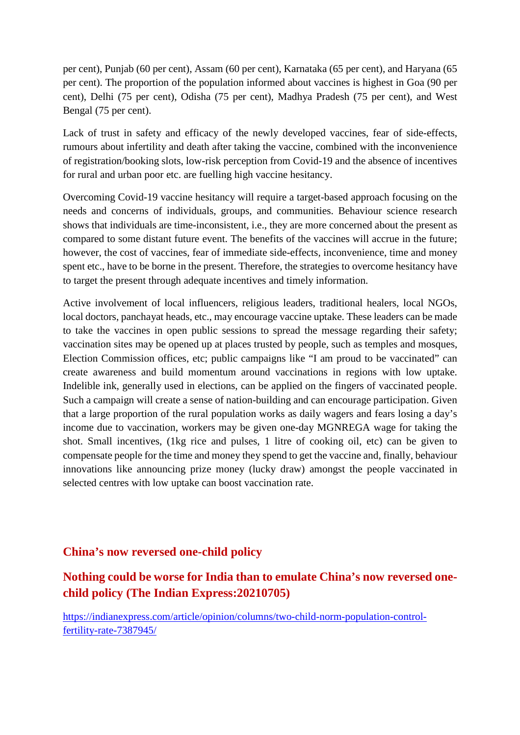per cent), Punjab (60 per cent), Assam (60 per cent), Karnataka (65 per cent), and Haryana (65 per cent). The proportion of the population informed about vaccines is highest in Goa (90 per cent), Delhi (75 per cent), Odisha (75 per cent), Madhya Pradesh (75 per cent), and West Bengal (75 per cent).

Lack of trust in safety and efficacy of the newly developed vaccines, fear of side-effects, rumours about infertility and death after taking the vaccine, combined with the inconvenience of registration/booking slots, low-risk perception from Covid-19 and the absence of incentives for rural and urban poor etc. are fuelling high vaccine hesitancy.

Overcoming Covid-19 vaccine hesitancy will require a target-based approach focusing on the needs and concerns of individuals, groups, and communities. Behaviour science research shows that individuals are time-inconsistent, i.e., they are more concerned about the present as compared to some distant future event. The benefits of the vaccines will accrue in the future; however, the cost of vaccines, fear of immediate side-effects, inconvenience, time and money spent etc., have to be borne in the present. Therefore, the strategies to overcome hesitancy have to target the present through adequate incentives and timely information.

Active involvement of local influencers, religious leaders, traditional healers, local NGOs, local doctors, panchayat heads, etc., may encourage vaccine uptake. These leaders can be made to take the vaccines in open public sessions to spread the message regarding their safety; vaccination sites may be opened up at places trusted by people, such as temples and mosques, Election Commission offices, etc; public campaigns like "I am proud to be vaccinated" can create awareness and build momentum around vaccinations in regions with low uptake. Indelible ink, generally used in elections, can be applied on the fingers of vaccinated people. Such a campaign will create a sense of nation-building and can encourage participation. Given that a large proportion of the rural population works as daily wagers and fears losing a day's income due to vaccination, workers may be given one-day MGNREGA wage for taking the shot. Small incentives, (1kg rice and pulses, 1 litre of cooking oil, etc) can be given to compensate people for the time and money they spend to get the vaccine and, finally, behaviour innovations like announcing prize money (lucky draw) amongst the people vaccinated in selected centres with low uptake can boost vaccination rate.

#### **China's now reversed one-child policy**

### **Nothing could be worse for India than to emulate China's now reversed onechild policy (The Indian Express:20210705)**

https://indianexpress.com/article/opinion/columns/two-child-norm-population-controlfertility-rate-7387945/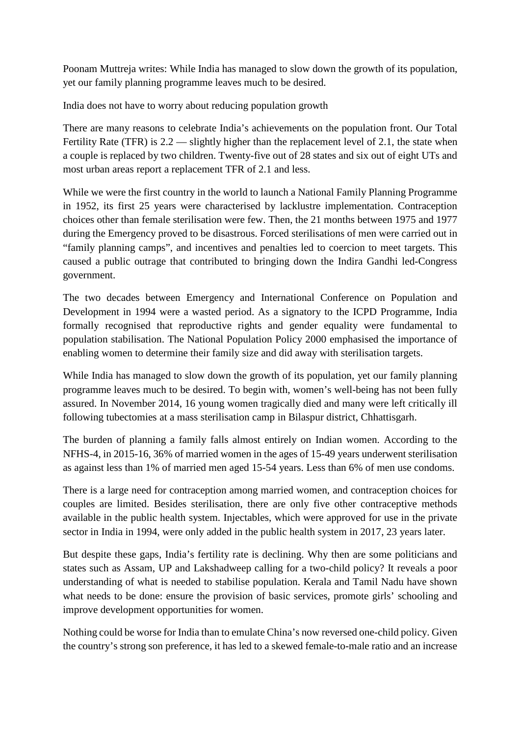Poonam Muttreja writes: While India has managed to slow down the growth of its population, yet our family planning programme leaves much to be desired.

India does not have to worry about reducing population growth

There are many reasons to celebrate India's achievements on the population front. Our Total Fertility Rate (TFR) is 2.2 — slightly higher than the replacement level of 2.1, the state when a couple is replaced by two children. Twenty-five out of 28 states and six out of eight UTs and most urban areas report a replacement TFR of 2.1 and less.

While we were the first country in the world to launch a National Family Planning Programme in 1952, its first 25 years were characterised by lacklustre implementation. Contraception choices other than female sterilisation were few. Then, the 21 months between 1975 and 1977 during the Emergency proved to be disastrous. Forced sterilisations of men were carried out in "family planning camps", and incentives and penalties led to coercion to meet targets. This caused a public outrage that contributed to bringing down the Indira Gandhi led-Congress government.

The two decades between Emergency and International Conference on Population and Development in 1994 were a wasted period. As a signatory to the ICPD Programme, India formally recognised that reproductive rights and gender equality were fundamental to population stabilisation. The National Population Policy 2000 emphasised the importance of enabling women to determine their family size and did away with sterilisation targets.

While India has managed to slow down the growth of its population, yet our family planning programme leaves much to be desired. To begin with, women's well-being has not been fully assured. In November 2014, 16 young women tragically died and many were left critically ill following tubectomies at a mass sterilisation camp in Bilaspur district, Chhattisgarh.

The burden of planning a family falls almost entirely on Indian women. According to the NFHS-4, in 2015-16, 36% of married women in the ages of 15-49 years underwent sterilisation as against less than 1% of married men aged 15-54 years. Less than 6% of men use condoms.

There is a large need for contraception among married women, and contraception choices for couples are limited. Besides sterilisation, there are only five other contraceptive methods available in the public health system. Injectables, which were approved for use in the private sector in India in 1994, were only added in the public health system in 2017, 23 years later.

But despite these gaps, India's fertility rate is declining. Why then are some politicians and states such as Assam, UP and Lakshadweep calling for a two-child policy? It reveals a poor understanding of what is needed to stabilise population. Kerala and Tamil Nadu have shown what needs to be done: ensure the provision of basic services, promote girls' schooling and improve development opportunities for women.

Nothing could be worse for India than to emulate China's now reversed one-child policy. Given the country's strong son preference, it has led to a skewed female-to-male ratio and an increase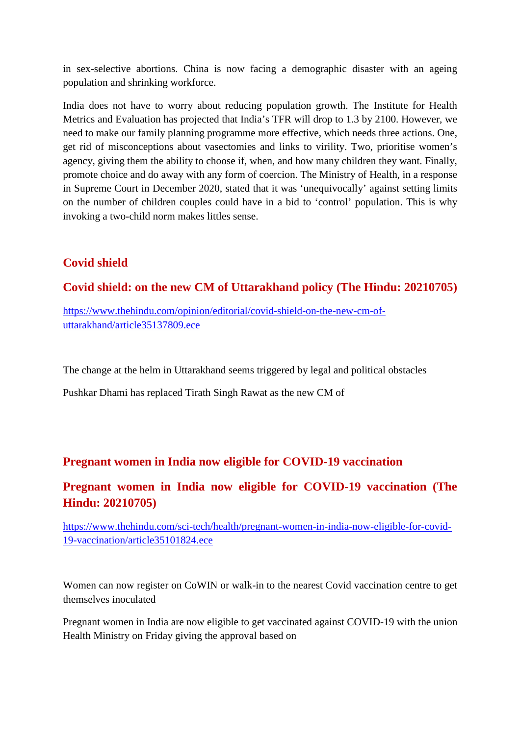in sex-selective abortions. China is now facing a demographic disaster with an ageing population and shrinking workforce.

India does not have to worry about reducing population growth. The Institute for Health Metrics and Evaluation has projected that India's TFR will drop to 1.3 by 2100. However, we need to make our family planning programme more effective, which needs three actions. One, get rid of misconceptions about vasectomies and links to virility. Two, prioritise women's agency, giving them the ability to choose if, when, and how many children they want. Finally, promote choice and do away with any form of coercion. The Ministry of Health, in a response in Supreme Court in December 2020, stated that it was 'unequivocally' against setting limits on the number of children couples could have in a bid to 'control' population. This is why invoking a two-child norm makes littles sense.

### **Covid shield**

### **Covid shield: on the new CM of Uttarakhand policy (The Hindu: 20210705)**

https://www.thehindu.com/opinion/editorial/covid-shield-on-the-new-cm-ofuttarakhand/article35137809.ece

The change at the helm in Uttarakhand seems triggered by legal and political obstacles

Pushkar Dhami has replaced Tirath Singh Rawat as the new CM of

### **Pregnant women in India now eligible for COVID-19 vaccination**

### **Pregnant women in India now eligible for COVID-19 vaccination (The Hindu: 20210705)**

https://www.thehindu.com/sci-tech/health/pregnant-women-in-india-now-eligible-for-covid-19-vaccination/article35101824.ece

Women can now register on CoWIN or walk-in to the nearest Covid vaccination centre to get themselves inoculated

Pregnant women in India are now eligible to get vaccinated against COVID-19 with the union Health Ministry on Friday giving the approval based on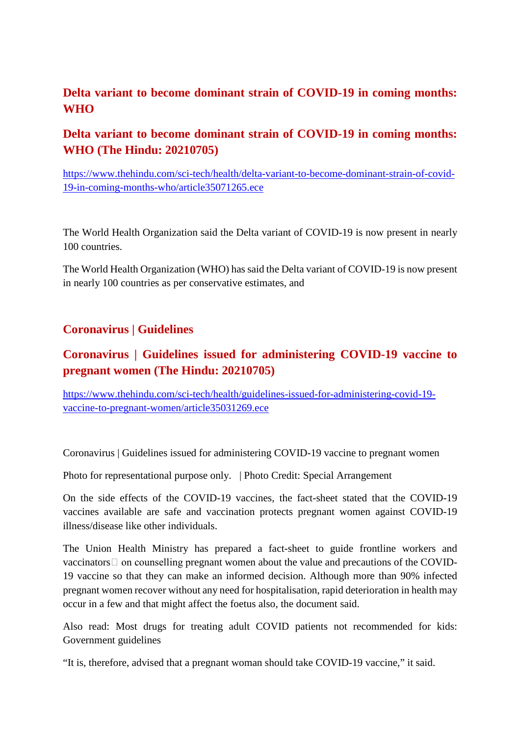### **Delta variant to become dominant strain of COVID-19 in coming months: WHO**

### **Delta variant to become dominant strain of COVID-19 in coming months: WHO (The Hindu: 20210705)**

https://www.thehindu.com/sci-tech/health/delta-variant-to-become-dominant-strain-of-covid-19-in-coming-months-who/article35071265.ece

The World Health Organization said the Delta variant of COVID-19 is now present in nearly 100 countries.

The World Health Organization (WHO) has said the Delta variant of COVID-19 is now present in nearly 100 countries as per conservative estimates, and

### **Coronavirus | Guidelines**

### **Coronavirus | Guidelines issued for administering COVID-19 vaccine to pregnant women (The Hindu: 20210705)**

https://www.thehindu.com/sci-tech/health/guidelines-issued-for-administering-covid-19 vaccine-to-pregnant-women/article35031269.ece

Coronavirus | Guidelines issued for administering COVID-19 vaccine to pregnant women

Photo for representational purpose only. | Photo Credit: Special Arrangement

On the side effects of the COVID-19 vaccines, the fact-sheet stated that the COVID-19 vaccines available are safe and vaccination protects pregnant women against COVID-19 illness/disease like other individuals.

The Union Health Ministry has prepared a fact-sheet to guide frontline workers and  $vacinators \Box$  on counselling pregnant women about the value and precautions of the COVID-19 vaccine so that they can make an informed decision. Although more than 90% infected pregnant women recover without any need for hospitalisation, rapid deterioration in health may occur in a few and that might affect the foetus also, the document said.

Also read: Most drugs for treating adult COVID patients not recommended for kids: Government guidelines

"It is, therefore, advised that a pregnant woman should take COVID-19 vaccine," it said.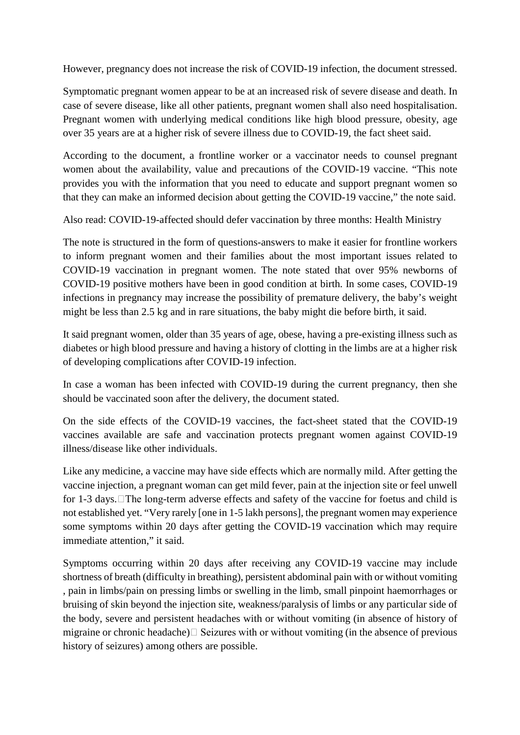However, pregnancy does not increase the risk of COVID-19 infection, the document stressed.

Symptomatic pregnant women appear to be at an increased risk of severe disease and death. In case of severe disease, like all other patients, pregnant women shall also need hospitalisation. Pregnant women with underlying medical conditions like high blood pressure, obesity, age over 35 years are at a higher risk of severe illness due to COVID-19, the fact sheet said.

According to the document, a frontline worker or a vaccinator needs to counsel pregnant women about the availability, value and precautions of the COVID-19 vaccine. "This note provides you with the information that you need to educate and support pregnant women so that they can make an informed decision about getting the COVID-19 vaccine," the note said.

Also read: COVID-19-affected should defer vaccination by three months: Health Ministry

The note is structured in the form of questions-answers to make it easier for frontline workers to inform pregnant women and their families about the most important issues related to COVID-19 vaccination in pregnant women. The note stated that over 95% newborns of COVID-19 positive mothers have been in good condition at birth. In some cases, COVID-19 infections in pregnancy may increase the possibility of premature delivery, the baby's weight might be less than 2.5 kg and in rare situations, the baby might die before birth, it said.

It said pregnant women, older than 35 years of age, obese, having a pre-existing illness such as diabetes or high blood pressure and having a history of clotting in the limbs are at a higher risk of developing complications after COVID-19 infection.

In case a woman has been infected with COVID-19 during the current pregnancy, then she should be vaccinated soon after the delivery, the document stated.

On the side effects of the COVID-19 vaccines, the fact-sheet stated that the COVID-19 vaccines available are safe and vaccination protects pregnant women against COVID-19 illness/disease like other individuals.

Like any medicine, a vaccine may have side effects which are normally mild. After getting the vaccine injection, a pregnant woman can get mild fever, pain at the injection site or feel unwell for 1-3 days. The long-term adverse effects and safety of the vaccine for foetus and child is not established yet. "Very rarely [one in 1-5 lakh persons], the pregnant women may experience some symptoms within 20 days after getting the COVID-19 vaccination which may require immediate attention," it said.

Symptoms occurring within 20 days after receiving any COVID-19 vaccine may include shortness of breath (difficulty in breathing), persistent abdominal pain with or without vomiting , pain in limbs/pain on pressing limbs or swelling in the limb, small pinpoint haemorrhages or bruising of skin beyond the injection site, weakness/paralysis of limbs or any particular side of the body, severe and persistent headaches with or without vomiting (in absence of history of migraine or chronic headache) $\Box$  Seizures with or without vomiting (in the absence of previous history of seizures) among others are possible.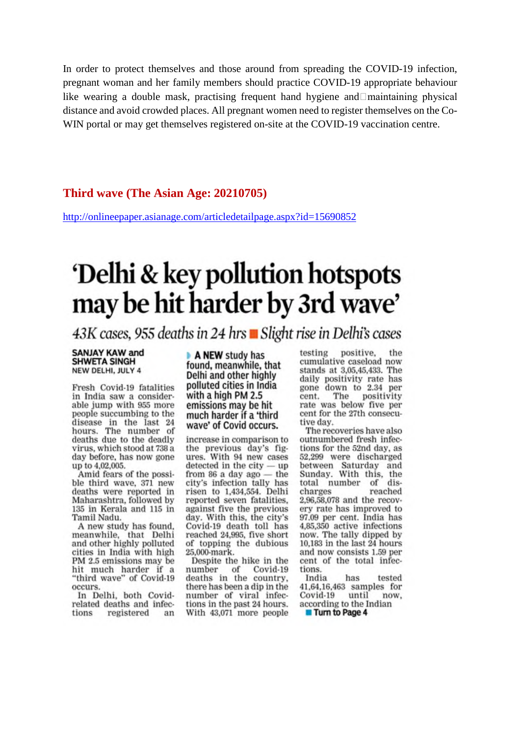In order to protect themselves and those around from spreading the COVID-19 infection, pregnant woman and her family members should practice COVID-19 appropriate behaviour like wearing a double mask, practising frequent hand hygiene and Imaintaining physical distance and avoid crowded places. All pregnant women need to register themselves on the Co-WIN portal or may get themselves registered on-site at the COVID-19 vaccination centre.

#### Third wave (The Asian Age: 20210705)

http://onlineepaper.asianage.com/articledetailpage.aspx?id=15690852

### 'Delhi & key pollution hotspots may be hit harder by 3rd wave'

43K cases, 955 deaths in 24 hrs Blight rise in Delhi's cases

#### **SANJAY KAW and SHWETA SINGH** NEW DELHI, JULY 4

Fresh Covid-19 fatalities in India saw a considerable jump with 955 more people succumbing to the disease in the last 24<br>hours. The number of deaths due to the deadly virus, which stood at 738 a day before, has now gone up to 4,02,005.

Amid fears of the possible third wave, 371 new deaths were reported in Maharashtra, followed by 135 in Kerala and 115 in Tamil Nadu.

A new study has found, meanwhile, that Delhi and other highly polluted cities in India with high PM 2.5 emissions may be hit much harder if a "third wave" of Covid-19 occurs.

In Delhi, both Covidrelated deaths and infections registered  $an$ 

A NEW study has found, meanwhile, that Delhi and other highly polluted cities in India with a high PM 2.5 emissions may be hit much harder if a 'third wave' of Covid occurs.

increase in comparison to the previous day's figures. With 94 new cases  $detected$  in the  $city$  - up from  $86$  a day ago  $-$  the city's infection tally has risen to 1,434,554. Delhi reported seven fatalities. against five the previous day. With this, the city's Covid-19 death toll has reached 24,995, five short of topping the dubious 25,000-mark.

Despite the hike in the of Covid-19 number deaths in the country, there has been a dip in the number of viral infections in the past 24 hours. With 43,071 more people

testing positive. the cumulative caseload now stands at 3,05,45,433. The daily positivity rate has gone down to 2.34 per positivity The cent. rate was below five per cent for the 27th consecutive day.

The recoveries have also outnumbered fresh infections for the 52nd day, as 52,299 were discharged between Saturday and<br>Sunday. With this, the total number of discharges reached 2,96,58,078 and the recovery rate has improved to 97.09 per cent. India has 4,85,350 active infections now. The tally dipped by 10,183 in the last 24 hours and now consists 1.59 per cent of the total infections.

India has tested 41,64,16,463 samples for Covid-19 until now, according to the Indian **Turn to Page 4**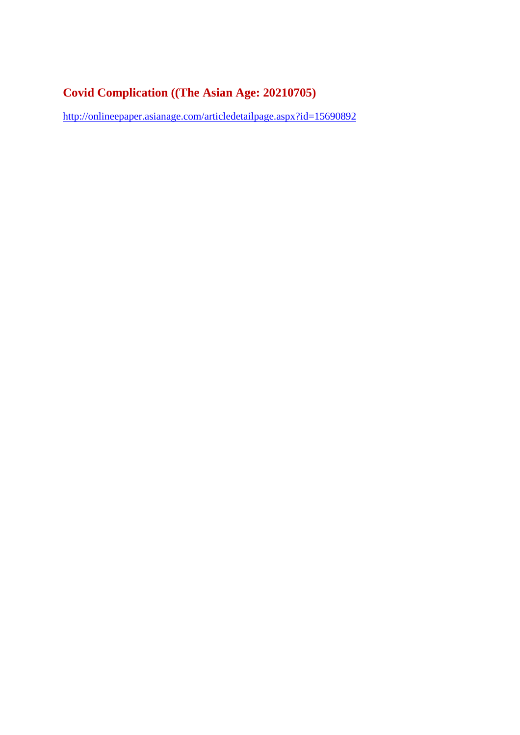### **Covid Complication ((The Asian Age: 20210705)**

http://onlineepaper.asianage.com/articledetailpage.aspx?id=15690892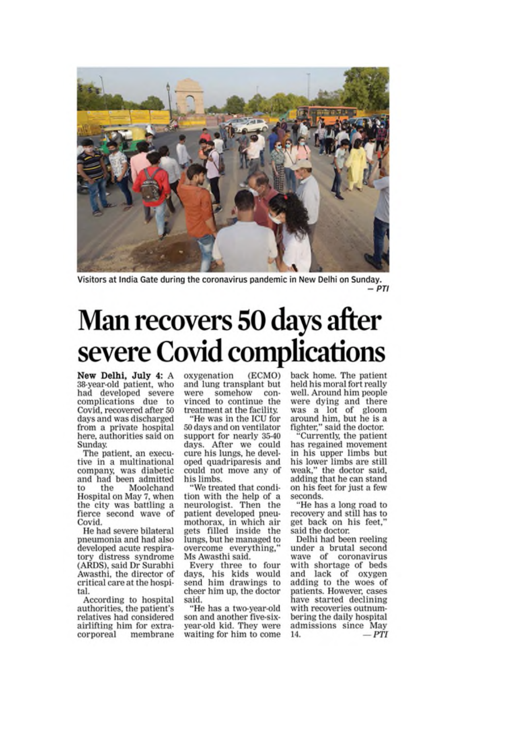

Visitors at India Gate during the coronavirus pandemic in New Delhi on Sunday.  $-PTI$ 

### Man recovers 50 days after severe Covid complications

New Delhi, July 4: A 38-year-old patient, who had developed severe complications due to Covid, recovered after 50 days and was discharged from a private hospital here, authorities said on Sunday.

The patient, an executive in a multinational company, was diabetic and had been admitted Moolchand the tο Hospital on May 7, when the city was battling a fierce second wave of Covid.

He had severe bilateral pneumonia and had also developed acute respiratory distress syndrome (ARDS), said Dr Surabhi Awasthi, the director of critical care at the hospital.

According to hospital authorities, the patient's relatives had considered airlifting him for extracorporeal membrane oxygenation (ECMO) and lung transplant but were somehow convinced to continue the treatment at the facility.

"He was in the ICU for 50 days and on ventilator support for nearly 35-40 days. After we could cure his lungs, he developed quadriparesis and could not move any of his limbs.

"We treated that condition with the help of a neurologist. Then the patient developed pneumothorax, in which air gets filled inside the lungs, but he managed to overcome everything, Ms Awasthi said.

Every three to four days, his kids would<br>send him drawings to cheer him up, the doctor said.

"He has a two-year-old son and another five-sixyear-old kid. They were waiting for him to come back home. The patient held his moral fort really well. Around him people were dying and there<br>was a lot of gloom around him, but he is a fighter," said the doctor.

Currently, the patient has regained movement in his upper limbs but his lower limbs are still weak," the doctor said,<br>adding that he can stand on his feet for just a few seconds.

"He has a long road to recovery and still has to get back on his feet.' said the doctor.

Delhi had been reeling under a brutal second wave of coronavirus with shortage of beds and lack of oxygen adding to the woes of patients. However, cases have started declining with recoveries outnumbering the daily hospital admissions since May  $-PTI$ 14.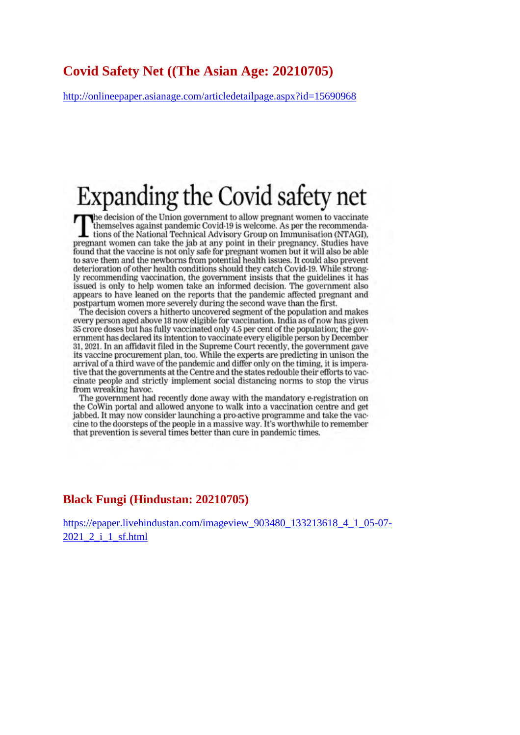### **Covid Safety Net ((The Asian Age: 20210705)**

http://onlineepaper.asianage.com/articledetailpage.aspx?id=15690968

### Expanding the Covid safety net

EXPAIRING LIIC COVID SAICLY IICL<br>The decision of the Union government to allow pregnant women to vaccinate<br>themselves against pandemic Covid-19 is welcome. As per the recommenda-<br>tions of the National Technical Advisory Gr tions of the National Technical Advisory Group on Immunisation (NTAGI). pregnant women can take the jab at any point in their pregnancy. Studies have found that the vaccine is not only safe for pregnant women but it will also be able to save them and the newborns from potential health issues. It could also prevent deterioration of other health conditions should they catch Covid-19. While strongly recommending vaccination, the government insists that the guidelines it has issued is only to help women take an informed decision. The government also appears to have leaned on the reports that the pandemic affected pregnant and postpartum women more severely during the second wave than the first.

The decision covers a hitherto uncovered segment of the population and makes every person aged above 18 now eligible for vaccination. India as of now has given 35 crore doses but has fully vaccinated only 4.5 per cent of the population; the government has declared its intention to vaccinate every eligible person by December 31, 2021. In an affidavit filed in the Supreme Court recently, the government gave its vaccine procurement plan, too. While the experts are predicting in unison the arrival of a third wave of the pandemic and differ only on the timing, it is imperative that the governments at the Centre and the states redouble their efforts to vaccinate people and strictly implement social distancing norms to stop the virus from wreaking havoc.

The government had recently done away with the mandatory e-registration on the CoWin portal and allowed anyone to walk into a vaccination centre and get jabbed. It may now consider launching a pro-active programme and take the vaccine to the doorsteps of the people in a massive way. It's worthwhile to remember that prevention is several times better than cure in pandemic times.

#### **Black Fungi (Hindustan: 20210705)**

https://epaper.livehindustan.com/imageview\_903480\_133213618\_4\_1\_05-07- 2021\_2\_i\_1\_sf.html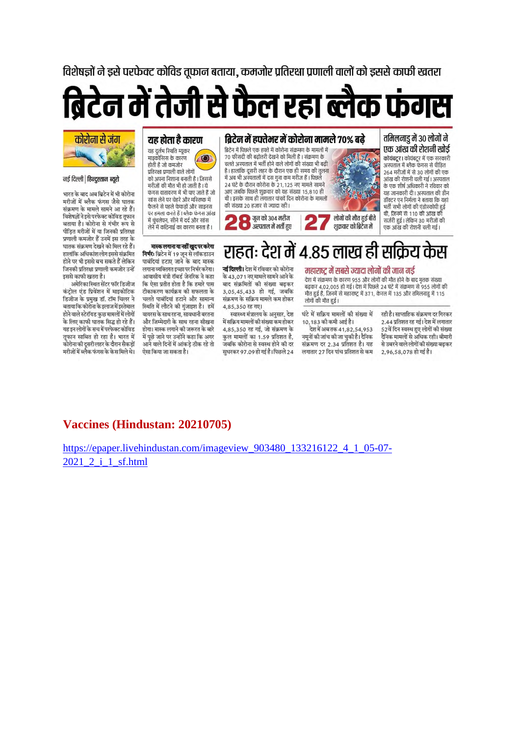विशेषज्ञों ने डसे परफेक्ट कोविड तफान बताया. कमजोर प्रतिरक्षा प्रणाली वालों को डससे काफी खतरा

## ब्रिटेन में तेजी से फैल रहा ब्लैक फंगस



#### नई दिल्ली | हिन्दुस्तान ब्युरो

भारत के बाद अब ब्रिटेन में भी कोरोना मरीजों में ब्लैक फंगस जैसे घातक संक्रमण के मामले सामने आ रहे हैं। विशेषज्ञों ने इसे परफेक्ट कोविड तूफान बताया है। कोरोना से गंभीर रूप से पीडित मरीजों में या जिनकी प्रतिरक्षा प्रणाली कमजोर हैं उनमें इस तरह के घातक संक्रमण देखने को मिल रहे हैं। हालांकि अधिकांश लोग इससे संक्रमित होने पर भी इससे बच सकते हैं लेकिन जिनकी प्रतिरक्षा प्रणाली कमजोर उन्हें डससे काफी खतरा है।

अमेरिका स्थित सेंटर फॉर डिजीज कंट्रोल एंड प्रिवेंशन में माइकोटिक डिजीज के प्रमुख डॉ. टॉम चिलर ने बताया कि कोरोना के इलाज में इस्तेमाल होने वाले स्टेरॉयड कछ मामलों में लोगों .<br>के लिए काफी घातक सिद्ध हो रहे हैं। .<br>यह इन लोगों के सच में परफेक्ट कोविड तफान साबित हो रहा है। भारत में कोरोना की दूसरी लहर के दौरान सैकडों मरीजों में ब्लैक फंगस के केस मिले थे।

#### यह होता है कारण

यह दर्लभ स्थिति म्यकर माइकोसिस के कारण  $\odot$ होती है जो कमजोर प्रतिरक्षा प्रणाली वाले लोगों को अपना निशाना बनाती है। जिससे मरीजों की मौत भी हो जाती है। ये फंगस वातावरण में भी पाए जाते हैं जो सांस लेने पर चेहरे और मरितष्क्र में फैलने से पहले फेफडों और साइनस पर हमला करते हैं । ब्लैक फंगस आंख में धंधलेपन, सीने में टर्ट और सांस लेने में कठिनाई का कारण बनता है ।

#### ब्रिटेन में हफ्तेभर में कोरोना मामले 70% बढे ब्रिटेन में पिछले एक हफ्ते में कोरोना संक्रमण के मामलों में 70 फीसदी की बढ़ोतरी देखने को मिली है। संक्रमण के चलते अस्पताल में भर्ती होने वाले लोगों की संख्या भी बढ़ी है। हालांकि दूसरी लहर के दौरान एक ही समय की तुलना में अब भी अस्पतालों में दस गुना कम मरीज हैं। पिछले

थी। इसके साथ ही लगातार पांचवें दिन कोरोना के मामलों की संख्या २० हजार से ज्यादा रही। ा जुन को ३०४ मरीज  $\Box$  अस्पताल में भर्ती हुए



तमिलनाडु में 30 लोगों ने एक आंख की रोशनी खोर्ड .<br>कोयंबद्र । कोयंबद्र में एक सरकारी

अस्पताल में ब्लैक फंगस से पीडित 264 मरीजों में से 30 लोगों की एक आंख की रोशनी चली गई। अस्पताल के एक शीर्ष अधिकारी ने रविवार को यह जानकारी दी। अस्पताल की डीन डॉक्टर एन निर्मला ने बताया कि यहां भर्ती सभी लोगों की एंडोस्कोपी हुई थी, जिनमें से 110 की आंख की सर्जरी हुई। लेकिन 30 मरीजों की एक आंख की रोशनी चली गई।

कर्म

मास्क लगाना या नहीं खुद पर करेगा निर्मरः ब्रिटेन में 19 जून से लॉकडाउन पाबंदियां हटाए जाने के बाद मास्क लगाना व्यक्तिगत डच्छा पर निर्भर करेगा। आवासीय मंत्री रॉबर्ड जेनरिक ने कहा कि ऐसा प्रतीत होता है कि हमारे पास टीकाकरण कार्यक्रम की सफलता के चलते पाबंदियां हटाने और सामान्य स्थिति में लौटने की गुंजाइश है। हमें वायरस के साथ रहना, सावधानी बरतना और जिम्मेदारी के साथ रहना सीखना होगा। मास्क लगाने की जरूरत के बारे में पछे जाने पर उन्होंने कहा कि अगर आने वाले दिनों में आंकड़े ठीक रहे तो ऐसा किया जा सकता है।

राहतः देश में ४.८५ लाख ही सकिय **नई दिल्ली।** देश में रविवार को कोरोना के 43,071 नए मामले सामने आने के बाद संक्रमितों की संख्या बढ़कर 3,05,45,433 हो गई, जबकि संक्रमण के सक्रिय मामले कम होकर

4,85,350 रह गए। स्वास्थ्य मंत्रालय के अनसार, देश .<br>में सक्रिय मामलों की संख्या कम होकर 4.85.350 रह गई, जो संक्रमण के कुल मामलों का 1.59 प्रतिशत है, जबकि कोरोना से स्वस्थ होने की दर सधरकर 97.09 हो गई है। पिछले 24

#### महाराष्ट में सबसे ज्यादा लोगों की जान गई

देश में संक्रमण के कारण 955 और लोगों की मौत होने के बाद मृतक संख्या बढ़कर 4,02,005 हो गई। देश में पिछले 24 घंटे में संक्रमण से 955 लोगों की मौत हुई है, जिनमें से महाराष्ट्र में 371, केरल में 135 और तमिलनाडु में 115 लोगों की मौत हुई।

घंटे में सक्रिय मामलों की संख्या में 10.183 की कमी आई है।

.<br>देश में अब तक 41.82.54.953 नमूनों की जांच की जा चुकी है। दैनिक संक्रमण दर 2 34 प्रतिशत है। यह लगातार 27 दिन पांच प्रतिशत से कम

रही है। साप्ताहिक संक्रमण दर गिरकर 2.44 प्रतिशत रह गई। देश में लगातार .<br>52वें दिन स्वस्थ हुए लोगों की संख्या .<br>दैनिक मामलों से अधिक रही। बीमारी से उबरने वाले लोगों की संख्या बढकर 2.96.58.078 हो गई है।

### Vaccines (Hindustan: 20210705)

https://epaper.livehindustan.com/imageview 903480 133216122 4 1 05-07-2021 2 i 1 sf.html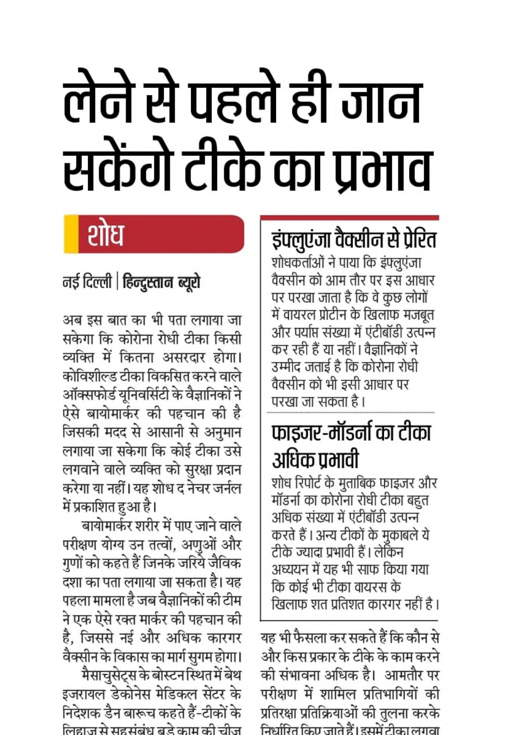# लेने से पहले ही जान सकेंगे टीके का प्रभाव

### शोध

### नई दिल्ली | हिन्दुस्तान ब्यूरो

अब इस बात का भी पता लगाया जा सकेगा कि कोरोना रोधी टीका किसी व्यक्ति में कितना असरदार होगा। कोविशील्ड टीका विकसित करने वाले ऑक्सफोर्ड यूनिवर्सिटी के वैज्ञानिकों ने ऐसे बायोमार्कर की पहचान की है जिसकी मदद से आसानी से अनुमान लगाया जा सकेगा कि कोई टीका उसे लगवाने वाले व्यक्ति को सुरक्षा प्रदान करेगा या नहीं। यह शोध द नेचर जर्नल में प्रकाशित हुआ है।

बायोमार्कर शरीर में पाए जाने वाले परीक्षण योग्य उन तत्वों, अणुओं और गुणों को कहते हैं जिनके जरिये जैविक दशा का पता लगाया जा सकता है। यह पहला मामला है जब वैज्ञानिकों की टीम ने एक ऐसे रक्त मार्कर की पहचान की है, जिससे नई और अधिक कारगर वैक्सीन के विकास का मार्ग सुगम होगा। मैसाचुसेट्स के बोस्टन स्थित में बेथ इजरायल डेकोनेस मेडिकल सेंटर के निदेशक डैन बारूच कहते हैं-टीकों के

लिहाज से सहसंबंध बड़े काम की चीज

### इंफ्लुएंजा वैक्सीन से प्रेरित

शोधकर्ताओं ने पाया कि इंफ्लूएंजा वैक्सीन को आम तौर पर इस आधार पर परखा जाता है कि वे कुछ लोगों में वायरल प्रोटीन के खिलाफ मजबूत और पर्याप्त संख्या में एंटीबॉडी उत्पन्न कर रही हैं या नहीं। वैज्ञानिकों ने उम्मीद जताई है कि कोरोना रोधी वैक्सीन को भी इसी आधार पर परखा जा सकता है ।

### फाइजर-मॉडर्ना का टीका अधिक प्रभावी

शोध रिपोर्ट के मुताबिक फाइजर और मॉडर्ना का कोरोना रोधी टीका बहुत अधिक संख्या में एंटीबॉडी उत्पन्न करते हैं । अन्य टीकों के मुकाबले ये टीके ज्यादा प्रभावी हैं। लेकिन अध्ययन में यह भी साफ किया गया कि कोई भी टीका वायरस के खिलाफ शत प्रतिशत कारगर नहीं है।

यह भी फैसला कर सकते हैं कि कौन से और किस प्रकार के टीके के काम करने की संभावना अधिक है। आमतौर पर परीक्षण में शामिल प्रतिभागियों की प्रतिरक्षा प्रतिक्रियाओं की तुलना करके निर्धारित किए जाते हैं। इसमें टीका लगवा